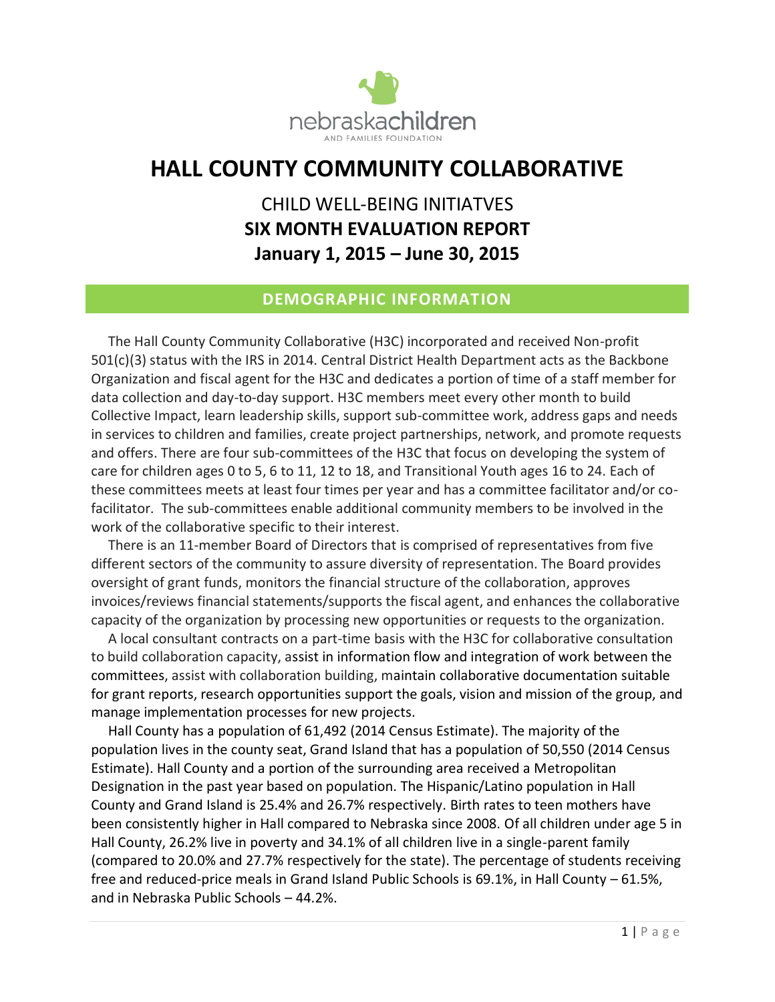

# **HALL COUNTY COMMUNITY COLLABORATIVE**

# CHILD WELL-BEING INITIATVES **SIX MONTH EVALUATION REPORT January 1, 2015 – June 30, 2015**

### **DEMOGRAPHIC INFORMATION**

 The Hall County Community Collaborative (H3C) incorporated and received Non-profit 501(c)(3) status with the IRS in 2014. Central District Health Department acts as the Backbone Organization and fiscal agent for the H3C and dedicates a portion of time of a staff member for data collection and day-to-day support. H3C members meet every other month to build Collective Impact, learn leadership skills, support sub-committee work, address gaps and needs in services to children and families, create project partnerships, network, and promote requests and offers. There are four sub-committees of the H3C that focus on developing the system of care for children ages 0 to 5, 6 to 11, 12 to 18, and Transitional Youth ages 16 to 24. Each of these committees meets at least four times per year and has a committee facilitator and/or cofacilitator. The sub-committees enable additional community members to be involved in the work of the collaborative specific to their interest.

 There is an 11-member Board of Directors that is comprised of representatives from five different sectors of the community to assure diversity of representation. The Board provides oversight of grant funds, monitors the financial structure of the collaboration, approves invoices/reviews financial statements/supports the fiscal agent, and enhances the collaborative capacity of the organization by processing new opportunities or requests to the organization.

 A local consultant contracts on a part-time basis with the H3C for collaborative consultation to build collaboration capacity, assist in information flow and integration of work between the committees, assist with collaboration building, maintain collaborative documentation suitable for grant reports, research opportunities support the goals, vision and mission of the group, and manage implementation processes for new projects.

 Hall County has a population of 61,492 (2014 Census Estimate). The majority of the population lives in the county seat, Grand Island that has a population of 50,550 (2014 Census Estimate). Hall County and a portion of the surrounding area received a Metropolitan Designation in the past year based on population. The Hispanic/Latino population in Hall County and Grand Island is 25.4% and 26.7% respectively. Birth rates to teen mothers have been consistently higher in Hall compared to Nebraska since 2008. Of all children under age 5 in Hall County, 26.2% live in poverty and 34.1% of all children live in a single-parent family (compared to 20.0% and 27.7% respectively for the state). The percentage of students receiving free and reduced-price meals in Grand Island Public Schools is 69.1%, in Hall County – 61.5%, and in Nebraska Public Schools – 44.2%.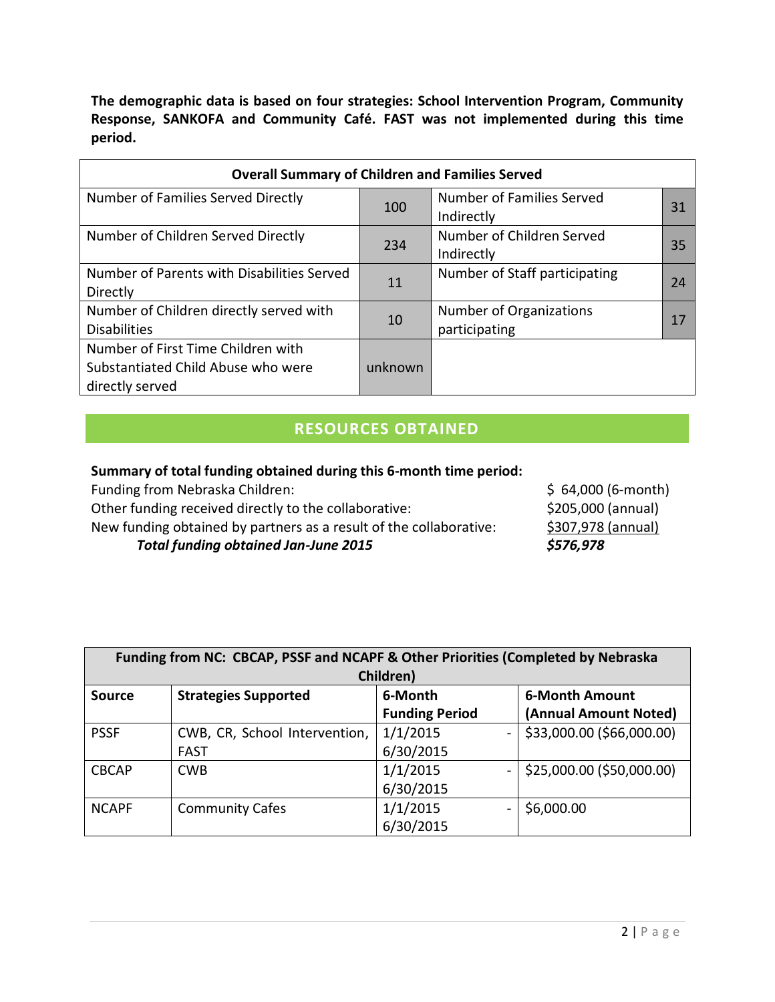**The demographic data is based on four strategies: School Intervention Program, Community Response, SANKOFA and Community Café. FAST was not implemented during this time period.** 

| <b>Overall Summary of Children and Families Served</b> |         |                               |    |  |  |  |
|--------------------------------------------------------|---------|-------------------------------|----|--|--|--|
| Number of Families Served Directly                     | 100     | Number of Families Served     | 31 |  |  |  |
|                                                        |         | Indirectly                    |    |  |  |  |
| Number of Children Served Directly                     |         | Number of Children Served     |    |  |  |  |
|                                                        | 234     | Indirectly                    | 35 |  |  |  |
| Number of Parents with Disabilities Served             | 11      | Number of Staff participating | 24 |  |  |  |
| Directly                                               |         |                               |    |  |  |  |
| Number of Children directly served with                |         | Number of Organizations       |    |  |  |  |
| <b>Disabilities</b>                                    | 10      | participating                 | 17 |  |  |  |
| Number of First Time Children with                     |         |                               |    |  |  |  |
| Substantiated Child Abuse who were                     | unknown |                               |    |  |  |  |
| directly served                                        |         |                               |    |  |  |  |

## **RESOURCES OBTAINED**

#### **Summary of total funding obtained during this 6-month time period:**

| Funding from Nebraska Children:             |                                                                    | $$64,000 (6-month)$ |
|---------------------------------------------|--------------------------------------------------------------------|---------------------|
|                                             | Other funding received directly to the collaborative:              | \$205,000 (annual)  |
|                                             | New funding obtained by partners as a result of the collaborative: | \$307,978 (annual)  |
| <b>Total funding obtained Jan-June 2015</b> |                                                                    | \$576,978           |
|                                             |                                                                    |                     |

|               | Funding from NC: CBCAP, PSSF and NCAPF & Other Priorities (Completed by Nebraska |                       |                           |  |  |  |
|---------------|----------------------------------------------------------------------------------|-----------------------|---------------------------|--|--|--|
|               |                                                                                  | Children)             |                           |  |  |  |
| <b>Source</b> | <b>Strategies Supported</b>                                                      | 6-Month               | <b>6-Month Amount</b>     |  |  |  |
|               |                                                                                  | <b>Funding Period</b> | (Annual Amount Noted)     |  |  |  |
| <b>PSSF</b>   | CWB, CR, School Intervention,                                                    | 1/1/2015              | \$33,000.00 (\$66,000.00) |  |  |  |
|               | <b>FAST</b>                                                                      | 6/30/2015             |                           |  |  |  |
| <b>CBCAP</b>  | <b>CWB</b>                                                                       | 1/1/2015              | \$25,000.00 (\$50,000.00) |  |  |  |
|               |                                                                                  | 6/30/2015             |                           |  |  |  |
| <b>NCAPF</b>  | <b>Community Cafes</b>                                                           | 1/1/2015              | \$6,000.00                |  |  |  |
|               |                                                                                  | 6/30/2015             |                           |  |  |  |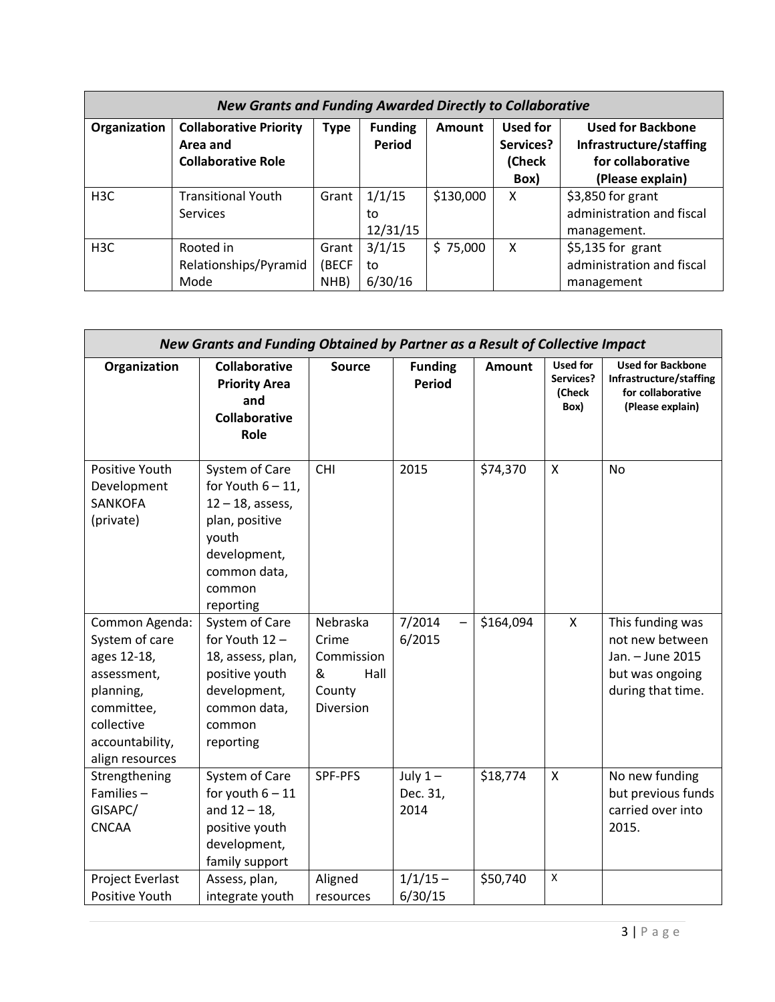| <b>New Grants and Funding Awarded Directly to Collaborative</b> |                                                                        |                        |                          |               |                                         |                                                                                              |
|-----------------------------------------------------------------|------------------------------------------------------------------------|------------------------|--------------------------|---------------|-----------------------------------------|----------------------------------------------------------------------------------------------|
| Organization                                                    | <b>Collaborative Priority</b><br>Area and<br><b>Collaborative Role</b> | <b>Type</b>            | <b>Funding</b><br>Period | <b>Amount</b> | Used for<br>Services?<br>(Check<br>Box) | <b>Used for Backbone</b><br>Infrastructure/staffing<br>for collaborative<br>(Please explain) |
| H <sub>3</sub> C                                                | <b>Transitional Youth</b><br>Services                                  | Grant                  | 1/1/15<br>to<br>12/31/15 | \$130,000     | X                                       | \$3,850 for grant<br>administration and fiscal<br>management.                                |
| H <sub>3</sub> C                                                | Rooted in<br>Relationships/Pyramid<br>Mode                             | Grant<br>(BECF<br>NHB) | 3/1/15<br>to<br>6/30/16  | \$75,000      | X                                       | \$5,135 for grant<br>administration and fiscal<br>management                                 |

| New Grants and Funding Obtained by Partner as a Result of Collective Impact                                                                   |                                                                                                                                                 |                                                                            |                                 |               |                                                |                                                                                                 |
|-----------------------------------------------------------------------------------------------------------------------------------------------|-------------------------------------------------------------------------------------------------------------------------------------------------|----------------------------------------------------------------------------|---------------------------------|---------------|------------------------------------------------|-------------------------------------------------------------------------------------------------|
| Organization                                                                                                                                  | <b>Collaborative</b><br><b>Priority Area</b><br>and<br><b>Collaborative</b><br>Role                                                             | <b>Source</b>                                                              | <b>Funding</b><br><b>Period</b> | <b>Amount</b> | <b>Used for</b><br>Services?<br>(Check<br>Box) | <b>Used for Backbone</b><br>Infrastructure/staffing<br>for collaborative<br>(Please explain)    |
| Positive Youth<br>Development<br><b>SANKOFA</b><br>(private)                                                                                  | System of Care<br>for Youth $6 - 11$ ,<br>$12 - 18$ , assess,<br>plan, positive<br>youth<br>development,<br>common data,<br>common<br>reporting | <b>CHI</b>                                                                 | 2015                            | \$74,370      | X                                              | <b>No</b>                                                                                       |
| Common Agenda:<br>System of care<br>ages 12-18,<br>assessment,<br>planning,<br>committee,<br>collective<br>accountability,<br>align resources | System of Care<br>for Youth 12 -<br>18, assess, plan,<br>positive youth<br>development,<br>common data,<br>common<br>reporting                  | Nebraska<br>Crime<br>Commission<br>&<br>Hall<br>County<br><b>Diversion</b> | 7/2014<br>6/2015                | \$164,094     | $\pmb{\mathsf{X}}$                             | This funding was<br>not new between<br>Jan. - June 2015<br>but was ongoing<br>during that time. |
| Strengthening<br>Families $-$<br>GISAPC/<br><b>CNCAA</b>                                                                                      | System of Care<br>for youth $6 - 11$<br>and $12 - 18$ ,<br>positive youth<br>development,<br>family support                                     | SPF-PFS                                                                    | July $1-$<br>Dec. 31,<br>2014   | \$18,774      | X                                              | No new funding<br>but previous funds<br>carried over into<br>2015.                              |
| Project Everlast<br>Positive Youth                                                                                                            | Assess, plan,<br>integrate youth                                                                                                                | Aligned<br>resources                                                       | $1/1/15 -$<br>6/30/15           | \$50,740      | X                                              |                                                                                                 |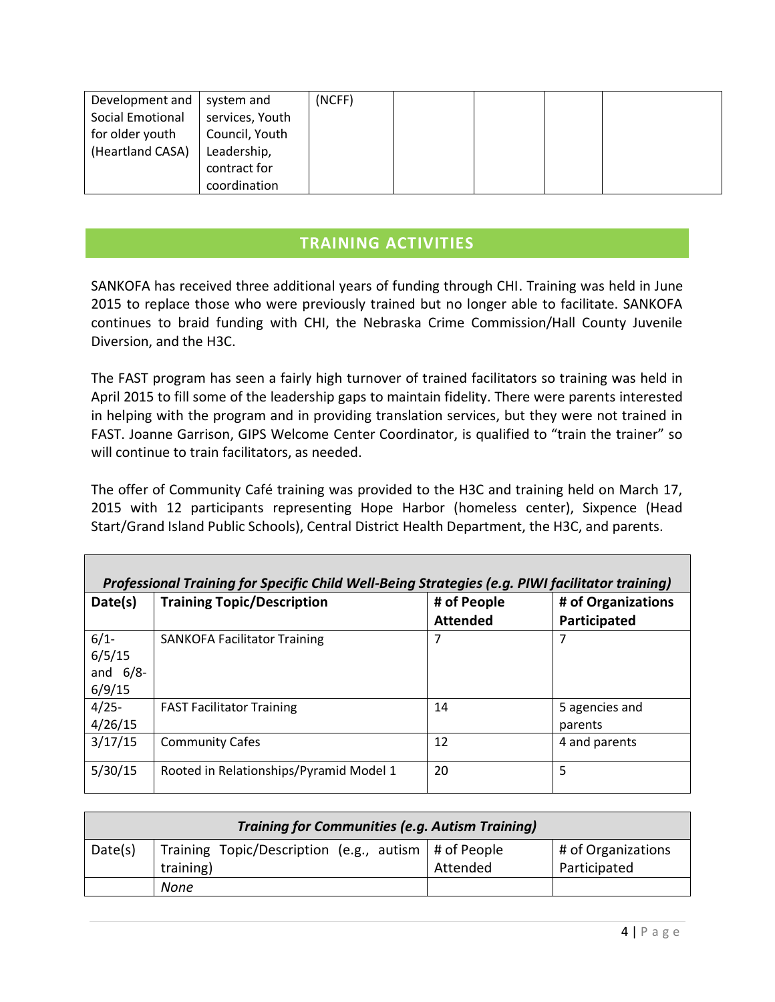| Development and  | system and      | (NCFF) |  |  |
|------------------|-----------------|--------|--|--|
| Social Emotional | services, Youth |        |  |  |
| for older youth  | Council, Youth  |        |  |  |
| (Heartland CASA) | Leadership,     |        |  |  |
|                  | contract for    |        |  |  |
|                  | coordination    |        |  |  |

### **TRAINING ACTIVITIES**

SANKOFA has received three additional years of funding through CHI. Training was held in June 2015 to replace those who were previously trained but no longer able to facilitate. SANKOFA continues to braid funding with CHI, the Nebraska Crime Commission/Hall County Juvenile Diversion, and the H3C.

The FAST program has seen a fairly high turnover of trained facilitators so training was held in April 2015 to fill some of the leadership gaps to maintain fidelity. There were parents interested in helping with the program and in providing translation services, but they were not trained in FAST. Joanne Garrison, GIPS Welcome Center Coordinator, is qualified to "train the trainer" so will continue to train facilitators, as needed.

The offer of Community Café training was provided to the H3C and training held on March 17, 2015 with 12 participants representing Hope Harbor (homeless center), Sixpence (Head Start/Grand Island Public Schools), Central District Health Department, the H3C, and parents.

| Professional Training for Specific Child Well-Being Strategies (e.g. PIWI facilitator training) |                                         |                 |                    |  |  |  |
|-------------------------------------------------------------------------------------------------|-----------------------------------------|-----------------|--------------------|--|--|--|
| Date(s)                                                                                         | <b>Training Topic/Description</b>       | # of People     | # of Organizations |  |  |  |
|                                                                                                 |                                         | <b>Attended</b> | Participated       |  |  |  |
| $6/1 -$<br>6/5/15<br>and $6/8$ -                                                                | <b>SANKOFA Facilitator Training</b>     | 7               | 7                  |  |  |  |
| 6/9/15<br>$4/25 -$                                                                              | <b>FAST Facilitator Training</b>        | 14              | 5 agencies and     |  |  |  |
| 4/26/15                                                                                         |                                         |                 | parents            |  |  |  |
| 3/17/15                                                                                         | <b>Community Cafes</b>                  | 12              | 4 and parents      |  |  |  |
| 5/30/15                                                                                         | Rooted in Relationships/Pyramid Model 1 | 20              | 5                  |  |  |  |

| <b>Training for Communities (e.g. Autism Training)</b> |                                                              |          |                    |  |  |
|--------------------------------------------------------|--------------------------------------------------------------|----------|--------------------|--|--|
| Date(s)                                                | Training Topic/Description (e.g., autism $\vert$ # of People |          | # of Organizations |  |  |
|                                                        | training)                                                    | Attended | Participated       |  |  |
|                                                        | None                                                         |          |                    |  |  |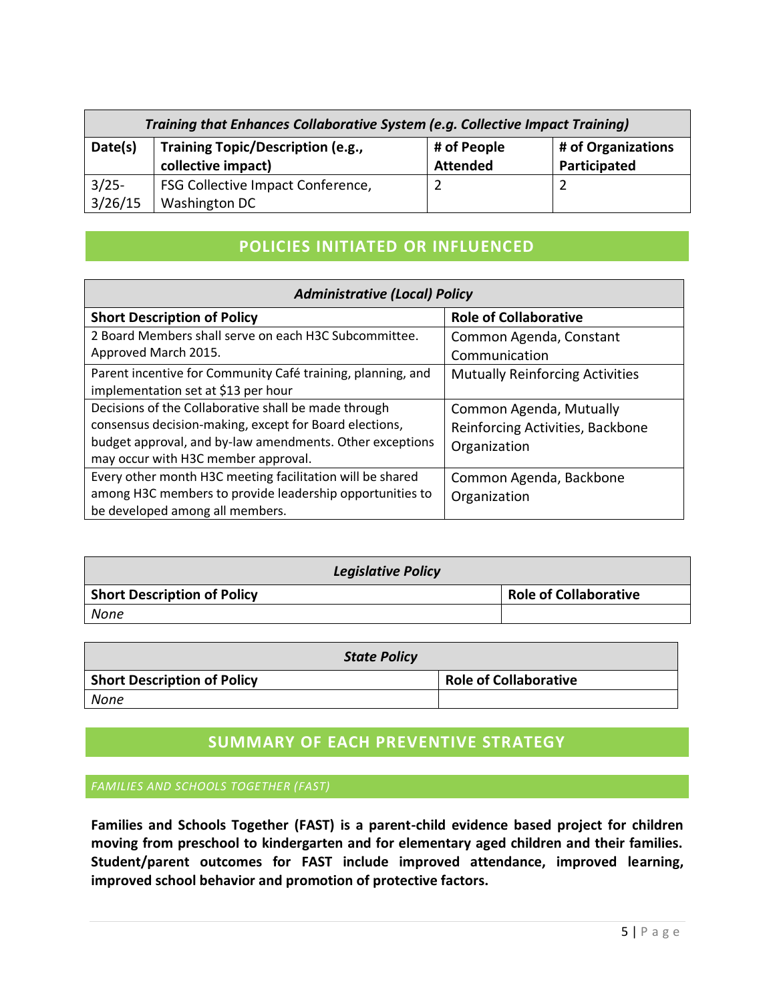| Training that Enhances Collaborative System (e.g. Collective Impact Training) |                                                         |                                |                                    |  |  |
|-------------------------------------------------------------------------------|---------------------------------------------------------|--------------------------------|------------------------------------|--|--|
| Date(s)                                                                       | Training Topic/Description (e.g.,<br>collective impact) | # of People<br><b>Attended</b> | # of Organizations<br>Participated |  |  |
| $3/25 -$<br>3/26/15                                                           | FSG Collective Impact Conference,<br>Washington DC      |                                |                                    |  |  |

### **POLICIES INITIATED OR INFLUENCED**

| <b>Administrative (Local) Policy</b>                                                                                                                                                                              |                                                                             |  |  |  |  |
|-------------------------------------------------------------------------------------------------------------------------------------------------------------------------------------------------------------------|-----------------------------------------------------------------------------|--|--|--|--|
| <b>Short Description of Policy</b>                                                                                                                                                                                | <b>Role of Collaborative</b>                                                |  |  |  |  |
| 2 Board Members shall serve on each H3C Subcommittee.<br>Approved March 2015.                                                                                                                                     | Common Agenda, Constant<br>Communication                                    |  |  |  |  |
| Parent incentive for Community Café training, planning, and<br>implementation set at \$13 per hour                                                                                                                | <b>Mutually Reinforcing Activities</b>                                      |  |  |  |  |
| Decisions of the Collaborative shall be made through<br>consensus decision-making, except for Board elections,<br>budget approval, and by-law amendments. Other exceptions<br>may occur with H3C member approval. | Common Agenda, Mutually<br>Reinforcing Activities, Backbone<br>Organization |  |  |  |  |
| Every other month H3C meeting facilitation will be shared<br>among H3C members to provide leadership opportunities to<br>be developed among all members.                                                          | Common Agenda, Backbone<br>Organization                                     |  |  |  |  |

| <b>Legislative Policy</b>          |                              |  |  |  |  |
|------------------------------------|------------------------------|--|--|--|--|
| <b>Short Description of Policy</b> | <b>Role of Collaborative</b> |  |  |  |  |
| None                               |                              |  |  |  |  |

| <b>State Policy</b>                |                              |  |  |  |  |
|------------------------------------|------------------------------|--|--|--|--|
| <b>Short Description of Policy</b> | <b>Role of Collaborative</b> |  |  |  |  |
| None                               |                              |  |  |  |  |

### **SUMMARY OF EACH PREVENTIVE STRATEGY**

#### *FAMILIES AND SCHOOLS TOGETHER (FAST)*

**Families and Schools Together (FAST) is a parent-child evidence based project for children moving from preschool to kindergarten and for elementary aged children and their families. Student/parent outcomes for FAST include improved attendance, improved learning, improved school behavior and promotion of protective factors.**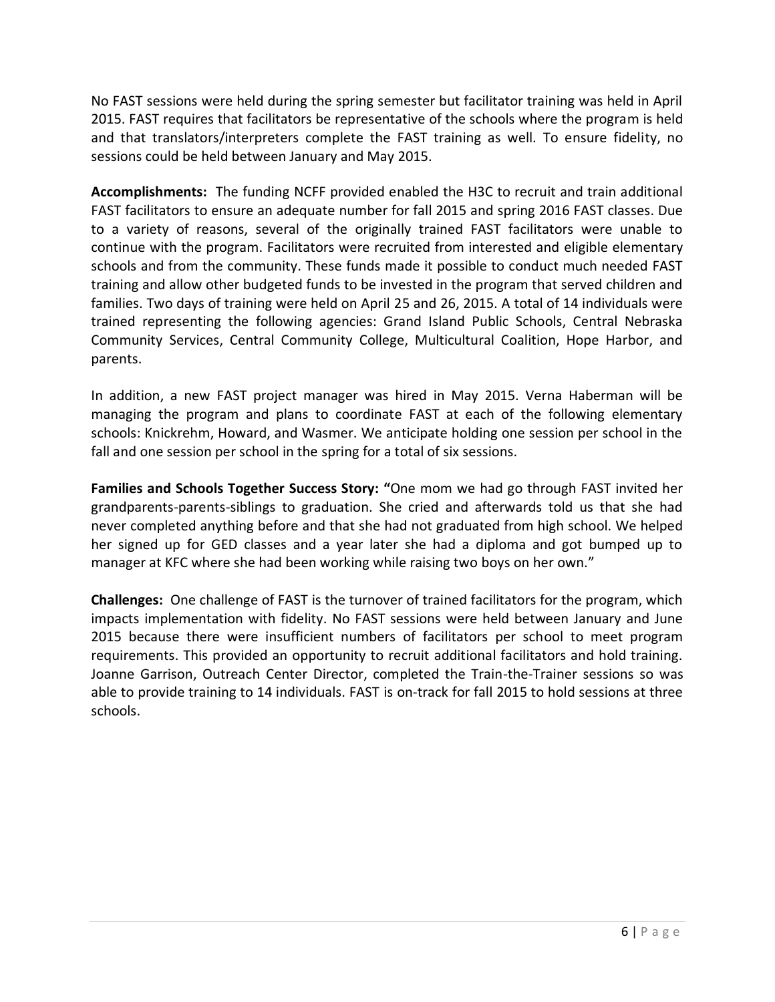No FAST sessions were held during the spring semester but facilitator training was held in April 2015. FAST requires that facilitators be representative of the schools where the program is held and that translators/interpreters complete the FAST training as well. To ensure fidelity, no sessions could be held between January and May 2015.

**Accomplishments:** The funding NCFF provided enabled the H3C to recruit and train additional FAST facilitators to ensure an adequate number for fall 2015 and spring 2016 FAST classes. Due to a variety of reasons, several of the originally trained FAST facilitators were unable to continue with the program. Facilitators were recruited from interested and eligible elementary schools and from the community. These funds made it possible to conduct much needed FAST training and allow other budgeted funds to be invested in the program that served children and families. Two days of training were held on April 25 and 26, 2015. A total of 14 individuals were trained representing the following agencies: Grand Island Public Schools, Central Nebraska Community Services, Central Community College, Multicultural Coalition, Hope Harbor, and parents.

In addition, a new FAST project manager was hired in May 2015. Verna Haberman will be managing the program and plans to coordinate FAST at each of the following elementary schools: Knickrehm, Howard, and Wasmer. We anticipate holding one session per school in the fall and one session per school in the spring for a total of six sessions.

**Families and Schools Together Success Story: "**One mom we had go through FAST invited her grandparents-parents-siblings to graduation. She cried and afterwards told us that she had never completed anything before and that she had not graduated from high school. We helped her signed up for GED classes and a year later she had a diploma and got bumped up to manager at KFC where she had been working while raising two boys on her own."

**Challenges:** One challenge of FAST is the turnover of trained facilitators for the program, which impacts implementation with fidelity. No FAST sessions were held between January and June 2015 because there were insufficient numbers of facilitators per school to meet program requirements. This provided an opportunity to recruit additional facilitators and hold training. Joanne Garrison, Outreach Center Director, completed the Train-the-Trainer sessions so was able to provide training to 14 individuals. FAST is on-track for fall 2015 to hold sessions at three schools.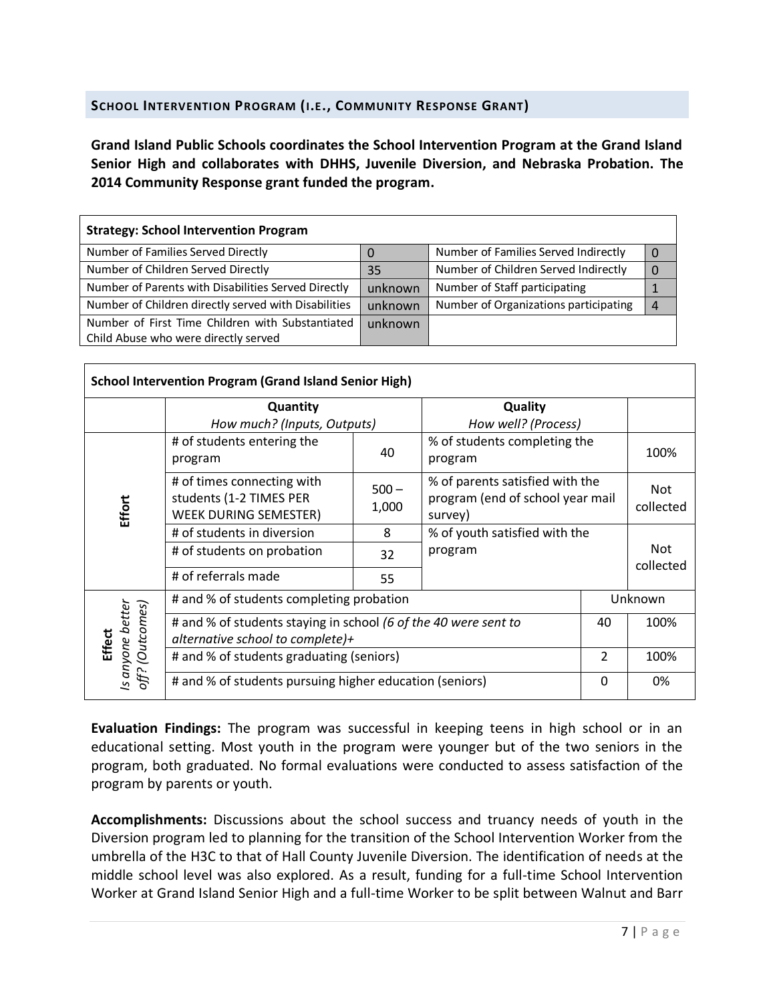#### **SCHOOL INTERVENTION PROGRAM (I.E., COMMUNITY RESPONSE GRANT)**

**Grand Island Public Schools coordinates the School Intervention Program at the Grand Island Senior High and collaborates with DHHS, Juvenile Diversion, and Nebraska Probation. The 2014 Community Response grant funded the program.**

| <b>Strategy: School Intervention Program</b>                                             |         |                                       |  |
|------------------------------------------------------------------------------------------|---------|---------------------------------------|--|
| Number of Families Served Directly                                                       | 0       | Number of Families Served Indirectly  |  |
| Number of Children Served Directly                                                       | 35      | Number of Children Served Indirectly  |  |
| Number of Parents with Disabilities Served Directly                                      | unknown | Number of Staff participating         |  |
| Number of Children directly served with Disabilities                                     | unknown | Number of Organizations participating |  |
| Number of First Time Children with Substantiated<br>Child Abuse who were directly served | unknown |                                       |  |
|                                                                                          |         |                                       |  |

|                                       | <b>School Intervention Program (Grand Island Senior High)</b>                         |                  |                                         |                                                                                  |                         |  |
|---------------------------------------|---------------------------------------------------------------------------------------|------------------|-----------------------------------------|----------------------------------------------------------------------------------|-------------------------|--|
|                                       | Quantity                                                                              |                  | Quality                                 |                                                                                  |                         |  |
|                                       | How much? (Inputs, Outputs)                                                           |                  | How well? (Process)                     |                                                                                  |                         |  |
| # of students entering the<br>program |                                                                                       | 40               | % of students completing the<br>program |                                                                                  | 100%                    |  |
| Effort                                | # of times connecting with<br>students (1-2 TIMES PER<br><b>WEEK DURING SEMESTER)</b> | $500 -$<br>1,000 | survey)                                 | % of parents satisfied with the<br>program (end of school year mail<br>collected |                         |  |
|                                       | # of students in diversion<br>8                                                       |                  | % of youth satisfied with the           |                                                                                  |                         |  |
|                                       | # of students on probation                                                            | 32               | program                                 |                                                                                  | <b>Not</b><br>collected |  |
|                                       | # of referrals made                                                                   | 55               |                                         |                                                                                  |                         |  |
|                                       | # and % of students completing probation                                              |                  |                                         |                                                                                  | Unknown                 |  |
|                                       | # and % of students staying in school (6 of the 40 were sent to                       |                  |                                         | 40                                                                               | 100%                    |  |
| <b>Effect</b>                         | alternative school to complete)+                                                      |                  |                                         |                                                                                  |                         |  |
| off? (Outcomes)<br>Is anyone better   | # and % of students graduating (seniors)                                              |                  |                                         | $\overline{2}$                                                                   | 100%                    |  |
|                                       | # and % of students pursuing higher education (seniors)                               |                  |                                         | 0                                                                                | 0%                      |  |

**Evaluation Findings:** The program was successful in keeping teens in high school or in an educational setting. Most youth in the program were younger but of the two seniors in the program, both graduated. No formal evaluations were conducted to assess satisfaction of the program by parents or youth.

**Accomplishments:** Discussions about the school success and truancy needs of youth in the Diversion program led to planning for the transition of the School Intervention Worker from the umbrella of the H3C to that of Hall County Juvenile Diversion. The identification of needs at the middle school level was also explored. As a result, funding for a full-time School Intervention Worker at Grand Island Senior High and a full-time Worker to be split between Walnut and Barr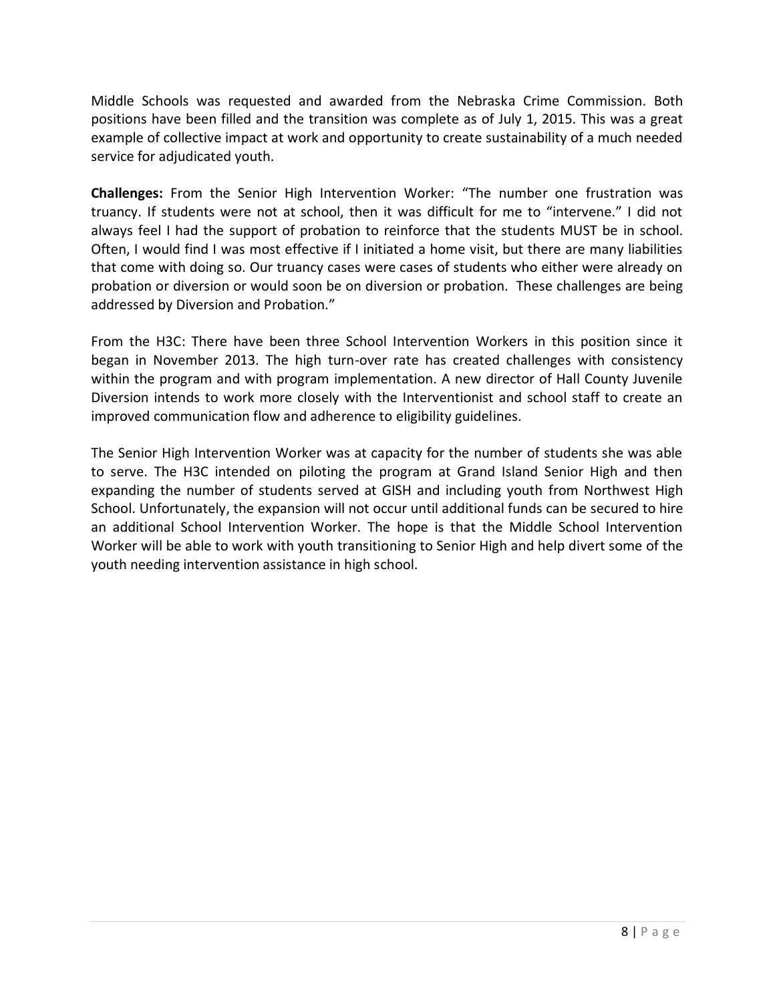Middle Schools was requested and awarded from the Nebraska Crime Commission. Both positions have been filled and the transition was complete as of July 1, 2015. This was a great example of collective impact at work and opportunity to create sustainability of a much needed service for adjudicated youth.

**Challenges:** From the Senior High Intervention Worker: "The number one frustration was truancy. If students were not at school, then it was difficult for me to "intervene." I did not always feel I had the support of probation to reinforce that the students MUST be in school. Often, I would find I was most effective if I initiated a home visit, but there are many liabilities that come with doing so. Our truancy cases were cases of students who either were already on probation or diversion or would soon be on diversion or probation. These challenges are being addressed by Diversion and Probation."

From the H3C: There have been three School Intervention Workers in this position since it began in November 2013. The high turn-over rate has created challenges with consistency within the program and with program implementation. A new director of Hall County Juvenile Diversion intends to work more closely with the Interventionist and school staff to create an improved communication flow and adherence to eligibility guidelines.

The Senior High Intervention Worker was at capacity for the number of students she was able to serve. The H3C intended on piloting the program at Grand Island Senior High and then expanding the number of students served at GISH and including youth from Northwest High School. Unfortunately, the expansion will not occur until additional funds can be secured to hire an additional School Intervention Worker. The hope is that the Middle School Intervention Worker will be able to work with youth transitioning to Senior High and help divert some of the youth needing intervention assistance in high school.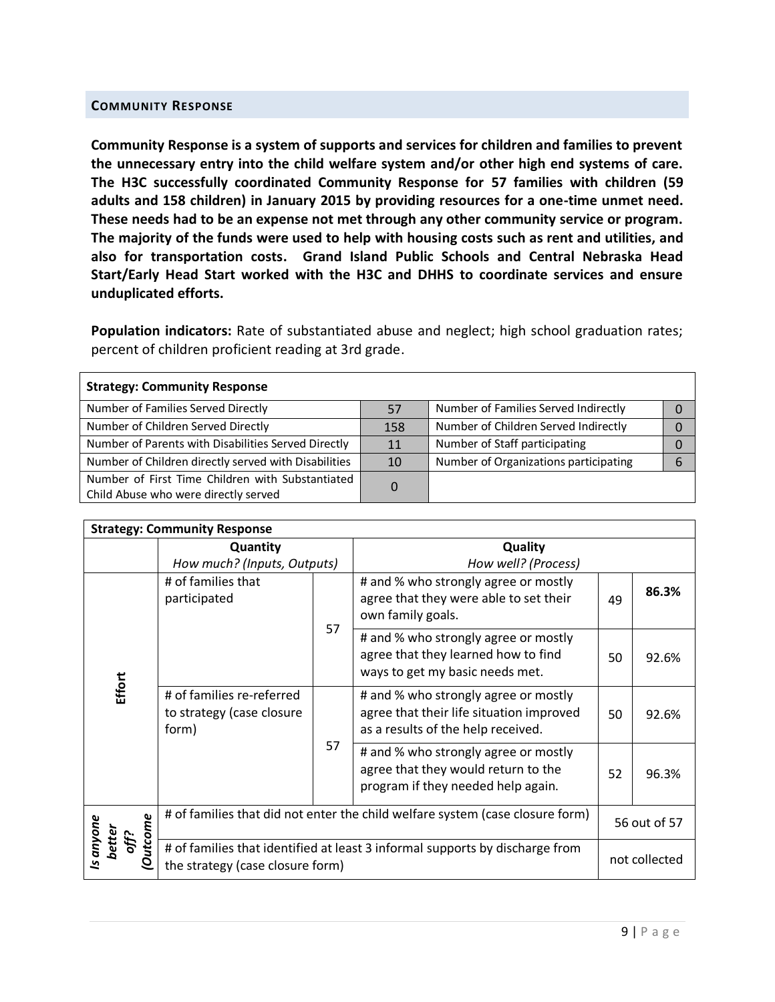#### **COMMUNITY RESPONSE**

**Community Response is a system of supports and services for children and families to prevent the unnecessary entry into the child welfare system and/or other high end systems of care. The H3C successfully coordinated Community Response for 57 families with children (59 adults and 158 children) in January 2015 by providing resources for a one-time unmet need. These needs had to be an expense not met through any other community service or program. The majority of the funds were used to help with housing costs such as rent and utilities, and also for transportation costs. Grand Island Public Schools and Central Nebraska Head Start/Early Head Start worked with the H3C and DHHS to coordinate services and ensure unduplicated efforts.**

**Population indicators:** Rate of substantiated abuse and neglect; high school graduation rates; percent of children proficient reading at 3rd grade.

| <b>Strategy: Community Response</b>                                                      |     |                                       |  |
|------------------------------------------------------------------------------------------|-----|---------------------------------------|--|
| Number of Families Served Directly                                                       | 57  | Number of Families Served Indirectly  |  |
| Number of Children Served Directly                                                       | 158 | Number of Children Served Indirectly  |  |
| Number of Parents with Disabilities Served Directly                                      | 11  | Number of Staff participating         |  |
| Number of Children directly served with Disabilities                                     | 10  | Number of Organizations participating |  |
| Number of First Time Children with Substantiated<br>Child Abuse who were directly served | 0   |                                       |  |

| <b>Strategy: Community Response</b>               |                                                                                                                  |    |                                                                                                                        |    |               |  |  |
|---------------------------------------------------|------------------------------------------------------------------------------------------------------------------|----|------------------------------------------------------------------------------------------------------------------------|----|---------------|--|--|
|                                                   | Quantity<br>How much? (Inputs, Outputs)                                                                          |    | Quality<br>How well? (Process)                                                                                         |    |               |  |  |
|                                                   | # of families that<br>participated                                                                               |    | # and % who strongly agree or mostly<br>agree that they were able to set their<br>own family goals.                    | 49 | 86.3%         |  |  |
|                                                   |                                                                                                                  | 57 | # and % who strongly agree or mostly<br>agree that they learned how to find<br>ways to get my basic needs met.         | 50 | 92.6%         |  |  |
| Effort                                            | # of families re-referred<br>to strategy (case closure<br>form)                                                  |    | # and % who strongly agree or mostly<br>agree that their life situation improved<br>as a results of the help received. | 50 | 92.6%         |  |  |
|                                                   |                                                                                                                  | 57 | # and % who strongly agree or mostly<br>agree that they would return to the<br>program if they needed help again.      | 52 | 96.3%         |  |  |
| utcome                                            |                                                                                                                  |    | # of families that did not enter the child welfare system (case closure form)                                          |    | 56 out of 57  |  |  |
| Is anyone<br>better<br>off?<br>$\bar{\mathsf{o}}$ | # of families that identified at least 3 informal supports by discharge from<br>the strategy (case closure form) |    |                                                                                                                        |    | not collected |  |  |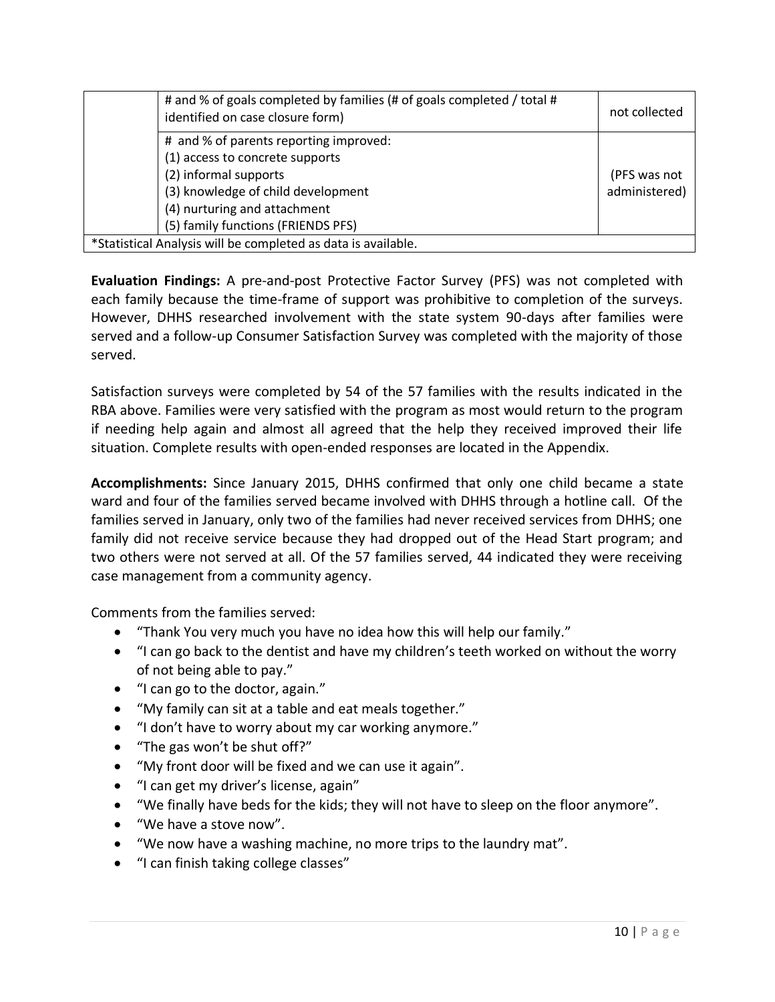| # and % of goals completed by families (# of goals completed / total #<br>identified on case closure form) | not collected |
|------------------------------------------------------------------------------------------------------------|---------------|
| # and % of parents reporting improved:                                                                     |               |
| (1) access to concrete supports                                                                            |               |
| (2) informal supports                                                                                      | (PFS was not  |
| (3) knowledge of child development                                                                         | administered) |
| (4) nurturing and attachment                                                                               |               |
| (5) family functions (FRIENDS PFS)                                                                         |               |
| *Statistical Analysis will be completed as data is available.                                              |               |

**Evaluation Findings:** A pre-and-post Protective Factor Survey (PFS) was not completed with each family because the time-frame of support was prohibitive to completion of the surveys. However, DHHS researched involvement with the state system 90-days after families were served and a follow-up Consumer Satisfaction Survey was completed with the majority of those served.

Satisfaction surveys were completed by 54 of the 57 families with the results indicated in the RBA above. Families were very satisfied with the program as most would return to the program if needing help again and almost all agreed that the help they received improved their life situation. Complete results with open-ended responses are located in the Appendix.

**Accomplishments:** Since January 2015, DHHS confirmed that only one child became a state ward and four of the families served became involved with DHHS through a hotline call. Of the families served in January, only two of the families had never received services from DHHS; one family did not receive service because they had dropped out of the Head Start program; and two others were not served at all. Of the 57 families served, 44 indicated they were receiving case management from a community agency.

Comments from the families served:

- "Thank You very much you have no idea how this will help our family."
- "I can go back to the dentist and have my children's teeth worked on without the worry of not being able to pay."
- "I can go to the doctor, again."
- "My family can sit at a table and eat meals together."
- "I don't have to worry about my car working anymore."
- "The gas won't be shut off?"
- "My front door will be fixed and we can use it again".
- "I can get my driver's license, again"
- "We finally have beds for the kids; they will not have to sleep on the floor anymore".
- "We have a stove now".
- "We now have a washing machine, no more trips to the laundry mat".
- "I can finish taking college classes"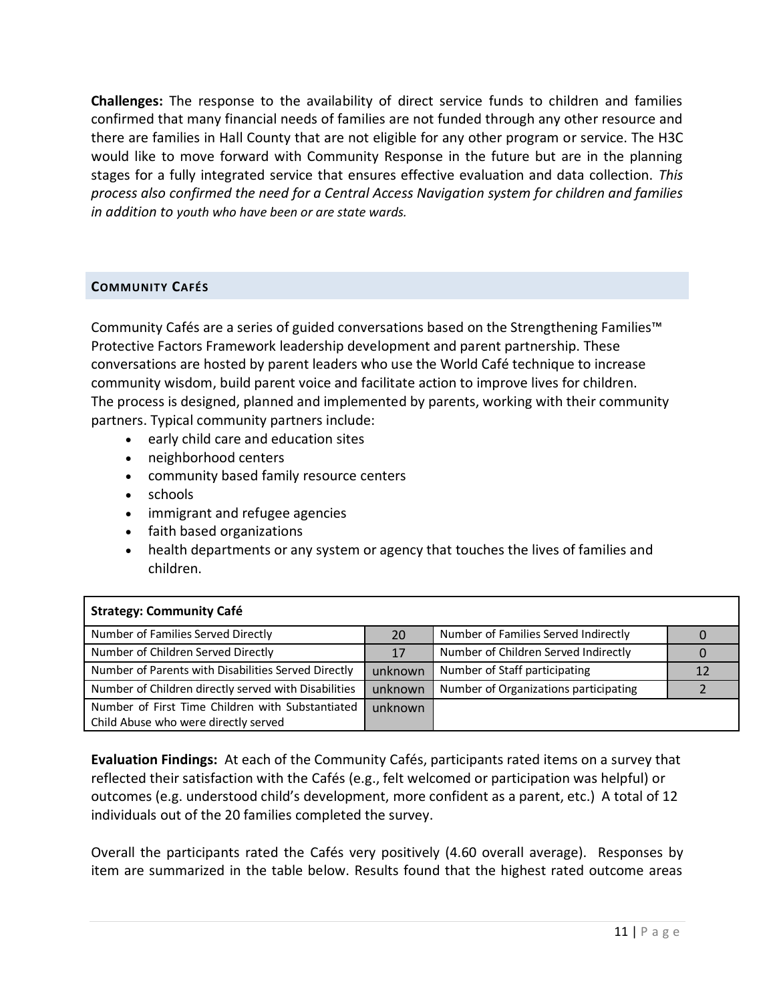**Challenges:** The response to the availability of direct service funds to children and families confirmed that many financial needs of families are not funded through any other resource and there are families in Hall County that are not eligible for any other program or service. The H3C would like to move forward with Community Response in the future but are in the planning stages for a fully integrated service that ensures effective evaluation and data collection. *This process also confirmed the need for a Central Access Navigation system for children and families in addition to youth who have been or are state wards.*

#### **COMMUNITY CAFÉS**

Community Cafés are a series of guided conversations based on the Strengthening Families™ Protective Factors Framework leadership development and parent partnership. These conversations are hosted by parent leaders who use the World Café technique to increase community wisdom, build parent voice and facilitate action to improve lives for children. The process is designed, planned and implemented by parents, working with their community partners. Typical community partners include:

- early child care and education sites
- neighborhood centers
- community based family resource centers
- schools
- immigrant and refugee agencies
- faith based organizations
- health departments or any system or agency that touches the lives of families and children.

| <b>Strategy: Community Café</b>                                                          |                 |                                       |  |
|------------------------------------------------------------------------------------------|-----------------|---------------------------------------|--|
| Number of Families Served Directly                                                       | 20 <sup>7</sup> | Number of Families Served Indirectly  |  |
| Number of Children Served Directly                                                       | 17              | Number of Children Served Indirectly  |  |
| Number of Parents with Disabilities Served Directly                                      | unknown         | Number of Staff participating         |  |
| Number of Children directly served with Disabilities                                     | unknown         | Number of Organizations participating |  |
| Number of First Time Children with Substantiated<br>Child Abuse who were directly served | unknown         |                                       |  |

**Evaluation Findings:** At each of the Community Cafés, participants rated items on a survey that reflected their satisfaction with the Cafés (e.g., felt welcomed or participation was helpful) or outcomes (e.g. understood child's development, more confident as a parent, etc.) A total of 12 individuals out of the 20 families completed the survey.

Overall the participants rated the Cafés very positively (4.60 overall average). Responses by item are summarized in the table below. Results found that the highest rated outcome areas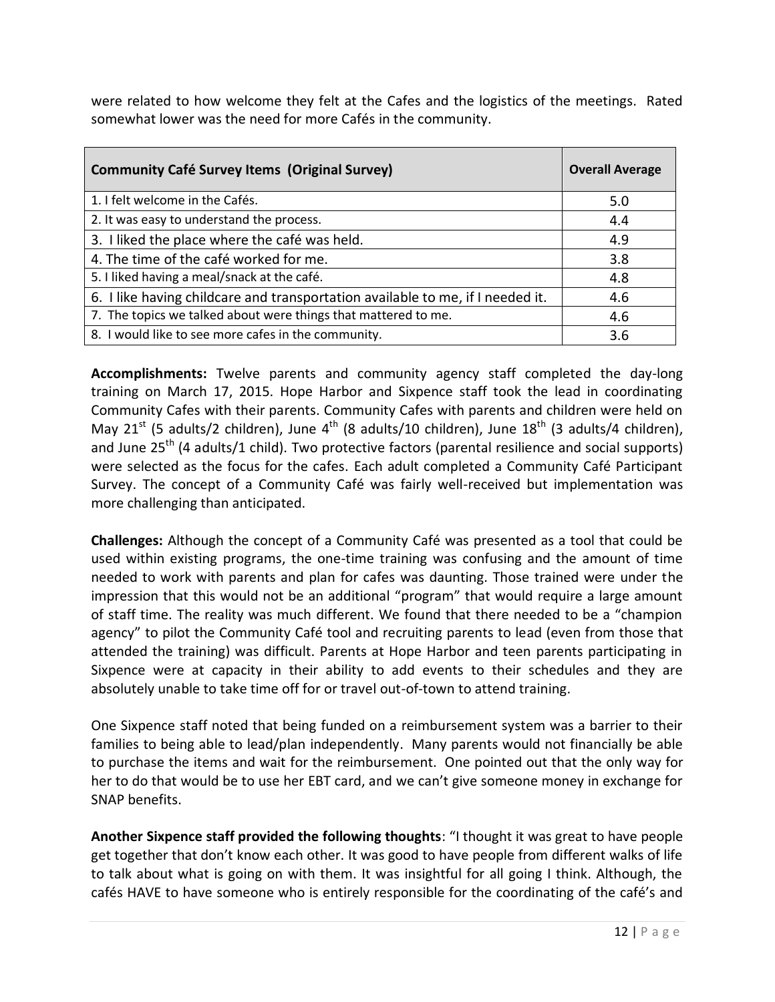were related to how welcome they felt at the Cafes and the logistics of the meetings. Rated somewhat lower was the need for more Cafés in the community.

| <b>Community Café Survey Items (Original Survey)</b>                           | <b>Overall Average</b> |
|--------------------------------------------------------------------------------|------------------------|
| 1. I felt welcome in the Cafés.                                                | 5.0                    |
| 2. It was easy to understand the process.                                      | 4.4                    |
| 3. I liked the place where the café was held.                                  | 4.9                    |
| 4. The time of the café worked for me.                                         | 3.8                    |
| 5. I liked having a meal/snack at the café.                                    | 4.8                    |
| 6. I like having childcare and transportation available to me, if I needed it. | 4.6                    |
| 7. The topics we talked about were things that mattered to me.                 | 4.6                    |
| 8. I would like to see more cafes in the community.                            | 3.6                    |

**Accomplishments:** Twelve parents and community agency staff completed the day-long training on March 17, 2015. Hope Harbor and Sixpence staff took the lead in coordinating Community Cafes with their parents. Community Cafes with parents and children were held on May 21<sup>st</sup> (5 adults/2 children), June 4<sup>th</sup> (8 adults/10 children), June 18<sup>th</sup> (3 adults/4 children), and June  $25^{th}$  (4 adults/1 child). Two protective factors (parental resilience and social supports) were selected as the focus for the cafes. Each adult completed a Community Café Participant Survey. The concept of a Community Café was fairly well-received but implementation was more challenging than anticipated.

**Challenges:** Although the concept of a Community Café was presented as a tool that could be used within existing programs, the one-time training was confusing and the amount of time needed to work with parents and plan for cafes was daunting. Those trained were under the impression that this would not be an additional "program" that would require a large amount of staff time. The reality was much different. We found that there needed to be a "champion agency" to pilot the Community Café tool and recruiting parents to lead (even from those that attended the training) was difficult. Parents at Hope Harbor and teen parents participating in Sixpence were at capacity in their ability to add events to their schedules and they are absolutely unable to take time off for or travel out-of-town to attend training.

One Sixpence staff noted that being funded on a reimbursement system was a barrier to their families to being able to lead/plan independently. Many parents would not financially be able to purchase the items and wait for the reimbursement. One pointed out that the only way for her to do that would be to use her EBT card, and we can't give someone money in exchange for SNAP benefits.

**Another Sixpence staff provided the following thoughts**: "I thought it was great to have people get together that don't know each other. It was good to have people from different walks of life to talk about what is going on with them. It was insightful for all going I think. Although, the cafés HAVE to have someone who is entirely responsible for the coordinating of the café's and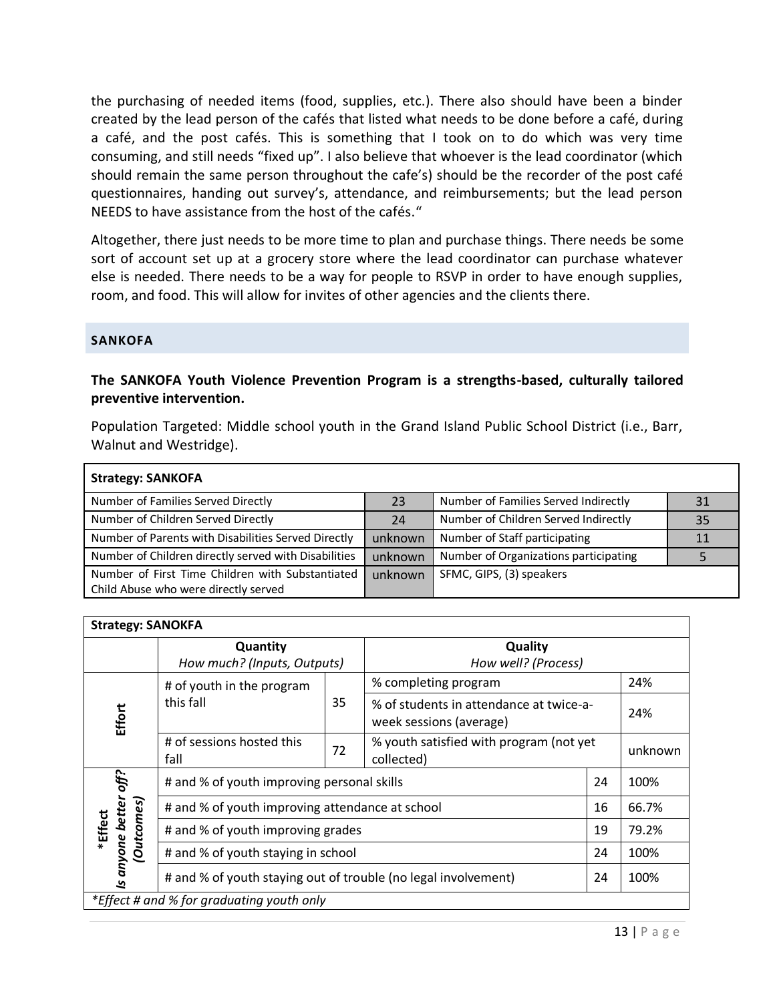the purchasing of needed items (food, supplies, etc.). There also should have been a binder created by the lead person of the cafés that listed what needs to be done before a café, during a café, and the post cafés. This is something that I took on to do which was very time consuming, and still needs "fixed up". I also believe that whoever is the lead coordinator (which should remain the same person throughout the cafe's) should be the recorder of the post café questionnaires, handing out survey's, attendance, and reimbursements; but the lead person NEEDS to have assistance from the host of the cafés."

Altogether, there just needs to be more time to plan and purchase things. There needs be some sort of account set up at a grocery store where the lead coordinator can purchase whatever else is needed. There needs to be a way for people to RSVP in order to have enough supplies, room, and food. This will allow for invites of other agencies and the clients there.

#### **SANKOFA**

#### **The SANKOFA Youth Violence Prevention Program is a strengths-based, culturally tailored preventive intervention.**

Population Targeted: Middle school youth in the Grand Island Public School District (i.e., Barr, Walnut and Westridge).

| <b>Strategy: SANKOFA</b>                             |         |                                       |    |
|------------------------------------------------------|---------|---------------------------------------|----|
| Number of Families Served Directly                   | 23      | Number of Families Served Indirectly  | 31 |
| Number of Children Served Directly                   | 24      | Number of Children Served Indirectly  | 35 |
| Number of Parents with Disabilities Served Directly  | unknown | Number of Staff participating         | 11 |
| Number of Children directly served with Disabilities | unknown | Number of Organizations participating |    |
| Number of First Time Children with Substantiated     | unknown | SFMC, GIPS, (3) speakers              |    |
| Child Abuse who were directly served                 |         |                                       |    |

| <b>Strategy: SANOKFA</b>           |                                                                              |                                                  |                                                                    |      |         |  |
|------------------------------------|------------------------------------------------------------------------------|--------------------------------------------------|--------------------------------------------------------------------|------|---------|--|
|                                    | Quantity                                                                     |                                                  | Quality                                                            |      |         |  |
|                                    | How much? (Inputs, Outputs)                                                  |                                                  | How well? (Process)                                                |      |         |  |
|                                    | # of youth in the program                                                    |                                                  | % completing program                                               |      | 24%     |  |
| Effort                             | this fall<br>35                                                              |                                                  | % of students in attendance at twice-a-<br>week sessions (average) |      | 24%     |  |
|                                    | # of sessions hosted this<br>fall                                            | 72                                               | % youth satisfied with program (not yet<br>collected)              |      | unknown |  |
| off?                               |                                                                              | # and % of youth improving personal skills<br>24 |                                                                    |      | 100%    |  |
| better                             | # and % of youth improving attendance at school                              |                                                  |                                                                    | 16   | 66.7%   |  |
| *Effect                            | <b>Outcomes</b> )<br># and % of youth improving grades<br>19                 |                                                  |                                                                    |      | 79.2%   |  |
| # and % of youth staying in school |                                                                              |                                                  | 24                                                                 | 100% |         |  |
| Is anyone                          | # and % of youth staying out of trouble (no legal involvement)<br>24<br>100% |                                                  |                                                                    |      |         |  |
|                                    | *Effect # and % for graduating youth only                                    |                                                  |                                                                    |      |         |  |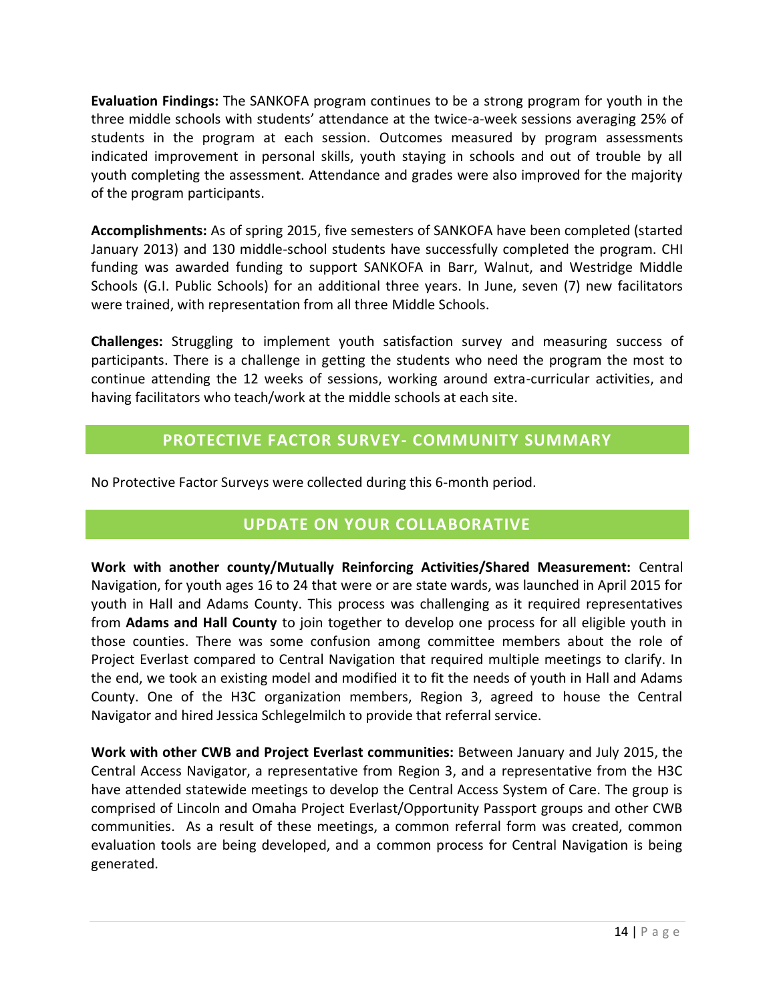**Evaluation Findings:** The SANKOFA program continues to be a strong program for youth in the three middle schools with students' attendance at the twice-a-week sessions averaging 25% of students in the program at each session. Outcomes measured by program assessments indicated improvement in personal skills, youth staying in schools and out of trouble by all youth completing the assessment. Attendance and grades were also improved for the majority of the program participants.

**Accomplishments:** As of spring 2015, five semesters of SANKOFA have been completed (started January 2013) and 130 middle-school students have successfully completed the program. CHI funding was awarded funding to support SANKOFA in Barr, Walnut, and Westridge Middle Schools (G.I. Public Schools) for an additional three years. In June, seven (7) new facilitators were trained, with representation from all three Middle Schools.

**Challenges:** Struggling to implement youth satisfaction survey and measuring success of participants. There is a challenge in getting the students who need the program the most to continue attending the 12 weeks of sessions, working around extra-curricular activities, and having facilitators who teach/work at the middle schools at each site.

### **PROTECTIVE FACTOR SURVEY- COMMUNITY SUMMARY**

No Protective Factor Surveys were collected during this 6-month period.

### **UPDATE ON YOUR COLLABORATIVE**

**Work with another county/Mutually Reinforcing Activities/Shared Measurement:** Central Navigation, for youth ages 16 to 24 that were or are state wards, was launched in April 2015 for youth in Hall and Adams County. This process was challenging as it required representatives from **Adams and Hall County** to join together to develop one process for all eligible youth in those counties. There was some confusion among committee members about the role of Project Everlast compared to Central Navigation that required multiple meetings to clarify. In the end, we took an existing model and modified it to fit the needs of youth in Hall and Adams County. One of the H3C organization members, Region 3, agreed to house the Central Navigator and hired Jessica Schlegelmilch to provide that referral service.

**Work with other CWB and Project Everlast communities:** Between January and July 2015, the Central Access Navigator, a representative from Region 3, and a representative from the H3C have attended statewide meetings to develop the Central Access System of Care. The group is comprised of Lincoln and Omaha Project Everlast/Opportunity Passport groups and other CWB communities. As a result of these meetings, a common referral form was created, common evaluation tools are being developed, and a common process for Central Navigation is being generated.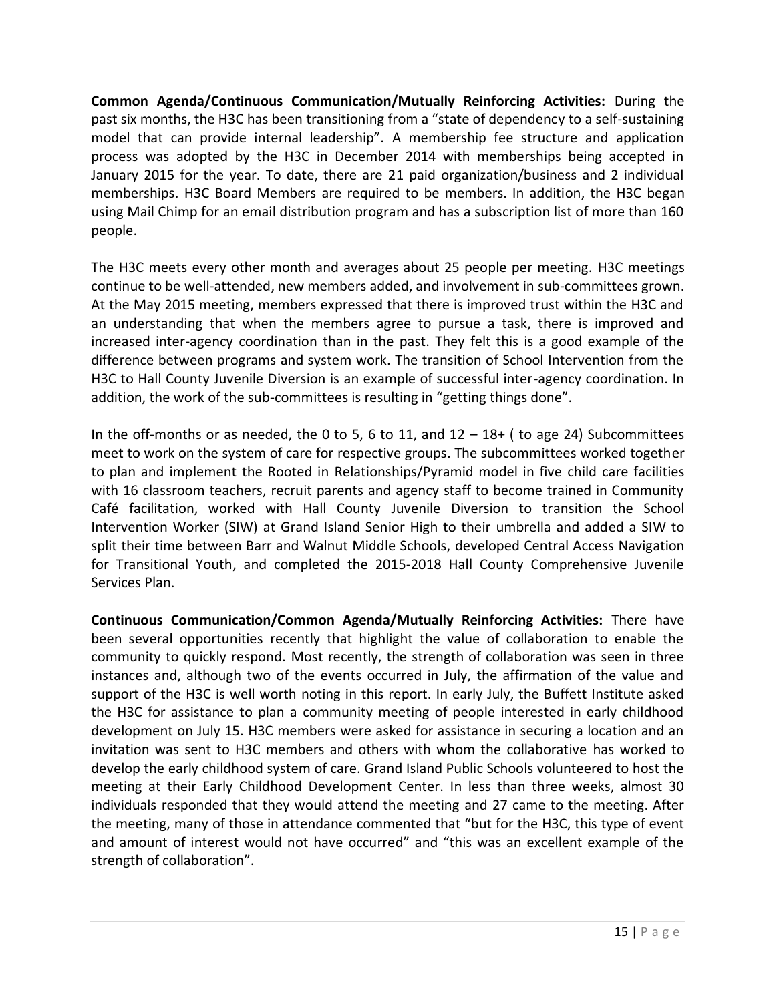**Common Agenda/Continuous Communication/Mutually Reinforcing Activities:** During the past six months, the H3C has been transitioning from a "state of dependency to a self-sustaining model that can provide internal leadership". A membership fee structure and application process was adopted by the H3C in December 2014 with memberships being accepted in January 2015 for the year. To date, there are 21 paid organization/business and 2 individual memberships. H3C Board Members are required to be members. In addition, the H3C began using Mail Chimp for an email distribution program and has a subscription list of more than 160 people.

The H3C meets every other month and averages about 25 people per meeting. H3C meetings continue to be well-attended, new members added, and involvement in sub-committees grown. At the May 2015 meeting, members expressed that there is improved trust within the H3C and an understanding that when the members agree to pursue a task, there is improved and increased inter-agency coordination than in the past. They felt this is a good example of the difference between programs and system work. The transition of School Intervention from the H3C to Hall County Juvenile Diversion is an example of successful inter-agency coordination. In addition, the work of the sub-committees is resulting in "getting things done".

In the off-months or as needed, the 0 to 5, 6 to 11, and  $12 - 18+$  (to age 24) Subcommittees meet to work on the system of care for respective groups. The subcommittees worked together to plan and implement the Rooted in Relationships/Pyramid model in five child care facilities with 16 classroom teachers, recruit parents and agency staff to become trained in Community Café facilitation, worked with Hall County Juvenile Diversion to transition the School Intervention Worker (SIW) at Grand Island Senior High to their umbrella and added a SIW to split their time between Barr and Walnut Middle Schools, developed Central Access Navigation for Transitional Youth, and completed the 2015-2018 Hall County Comprehensive Juvenile Services Plan.

**Continuous Communication/Common Agenda/Mutually Reinforcing Activities:** There have been several opportunities recently that highlight the value of collaboration to enable the community to quickly respond. Most recently, the strength of collaboration was seen in three instances and, although two of the events occurred in July, the affirmation of the value and support of the H3C is well worth noting in this report. In early July, the Buffett Institute asked the H3C for assistance to plan a community meeting of people interested in early childhood development on July 15. H3C members were asked for assistance in securing a location and an invitation was sent to H3C members and others with whom the collaborative has worked to develop the early childhood system of care. Grand Island Public Schools volunteered to host the meeting at their Early Childhood Development Center. In less than three weeks, almost 30 individuals responded that they would attend the meeting and 27 came to the meeting. After the meeting, many of those in attendance commented that "but for the H3C, this type of event and amount of interest would not have occurred" and "this was an excellent example of the strength of collaboration".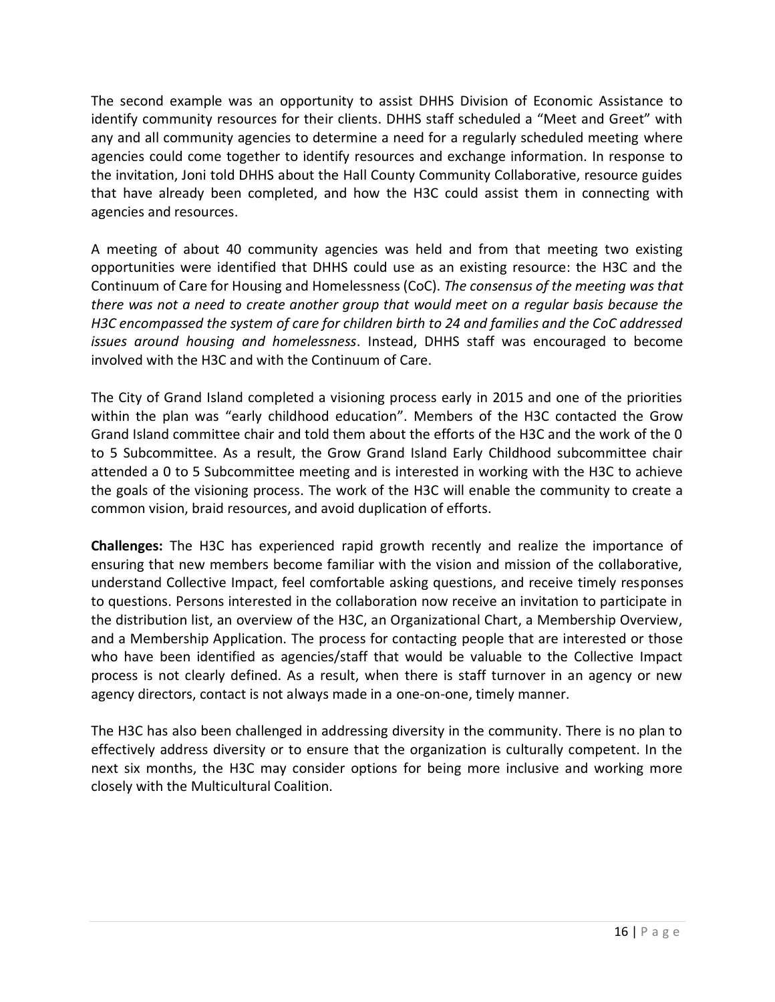The second example was an opportunity to assist DHHS Division of Economic Assistance to identify community resources for their clients. DHHS staff scheduled a "Meet and Greet" with any and all community agencies to determine a need for a regularly scheduled meeting where agencies could come together to identify resources and exchange information. In response to the invitation, Joni told DHHS about the Hall County Community Collaborative, resource guides that have already been completed, and how the H3C could assist them in connecting with agencies and resources.

A meeting of about 40 community agencies was held and from that meeting two existing opportunities were identified that DHHS could use as an existing resource: the H3C and the Continuum of Care for Housing and Homelessness (CoC). *The consensus of the meeting was that there was not a need to create another group that would meet on a regular basis because the H3C encompassed the system of care for children birth to 24 and families and the CoC addressed issues around housing and homelessness*. Instead, DHHS staff was encouraged to become involved with the H3C and with the Continuum of Care.

The City of Grand Island completed a visioning process early in 2015 and one of the priorities within the plan was "early childhood education". Members of the H3C contacted the Grow Grand Island committee chair and told them about the efforts of the H3C and the work of the 0 to 5 Subcommittee. As a result, the Grow Grand Island Early Childhood subcommittee chair attended a 0 to 5 Subcommittee meeting and is interested in working with the H3C to achieve the goals of the visioning process. The work of the H3C will enable the community to create a common vision, braid resources, and avoid duplication of efforts.

**Challenges:** The H3C has experienced rapid growth recently and realize the importance of ensuring that new members become familiar with the vision and mission of the collaborative, understand Collective Impact, feel comfortable asking questions, and receive timely responses to questions. Persons interested in the collaboration now receive an invitation to participate in the distribution list, an overview of the H3C, an Organizational Chart, a Membership Overview, and a Membership Application. The process for contacting people that are interested or those who have been identified as agencies/staff that would be valuable to the Collective Impact process is not clearly defined. As a result, when there is staff turnover in an agency or new agency directors, contact is not always made in a one-on-one, timely manner.

The H3C has also been challenged in addressing diversity in the community. There is no plan to effectively address diversity or to ensure that the organization is culturally competent. In the next six months, the H3C may consider options for being more inclusive and working more closely with the Multicultural Coalition.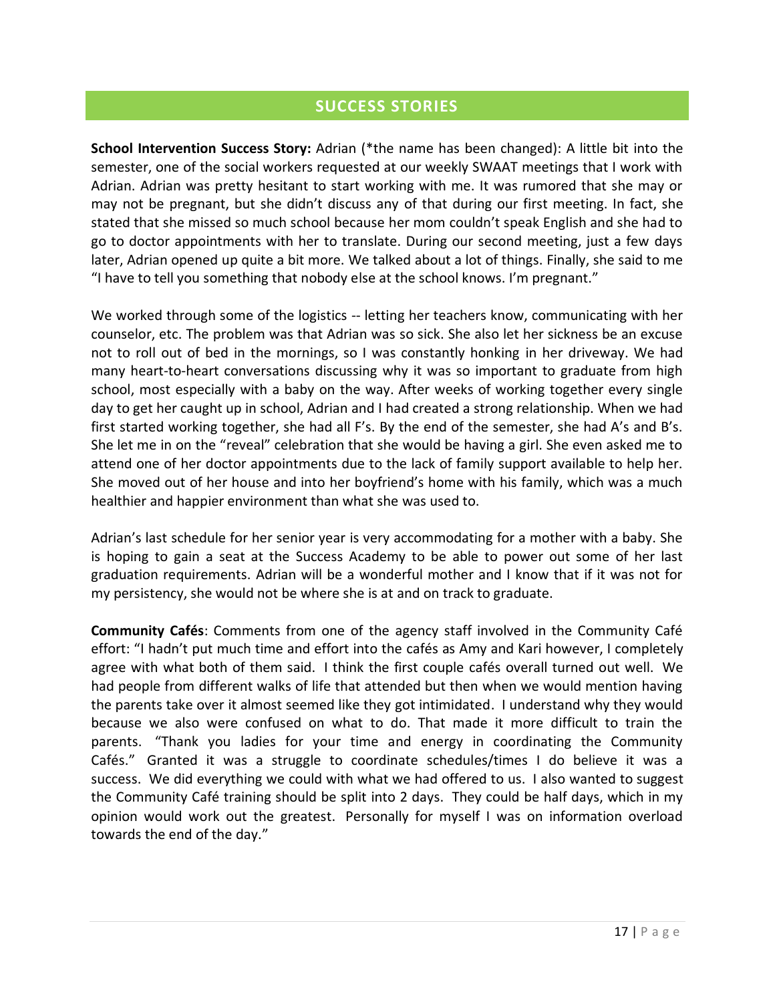### **SUCCESS STORIES**

**School Intervention Success Story:** Adrian (\*the name has been changed): A little bit into the semester, one of the social workers requested at our weekly SWAAT meetings that I work with Adrian. Adrian was pretty hesitant to start working with me. It was rumored that she may or may not be pregnant, but she didn't discuss any of that during our first meeting. In fact, she stated that she missed so much school because her mom couldn't speak English and she had to go to doctor appointments with her to translate. During our second meeting, just a few days later, Adrian opened up quite a bit more. We talked about a lot of things. Finally, she said to me "I have to tell you something that nobody else at the school knows. I'm pregnant."

We worked through some of the logistics -- letting her teachers know, communicating with her counselor, etc. The problem was that Adrian was so sick. She also let her sickness be an excuse not to roll out of bed in the mornings, so I was constantly honking in her driveway. We had many heart-to-heart conversations discussing why it was so important to graduate from high school, most especially with a baby on the way. After weeks of working together every single day to get her caught up in school, Adrian and I had created a strong relationship. When we had first started working together, she had all F's. By the end of the semester, she had A's and B's. She let me in on the "reveal" celebration that she would be having a girl. She even asked me to attend one of her doctor appointments due to the lack of family support available to help her. She moved out of her house and into her boyfriend's home with his family, which was a much healthier and happier environment than what she was used to.

Adrian's last schedule for her senior year is very accommodating for a mother with a baby. She is hoping to gain a seat at the Success Academy to be able to power out some of her last graduation requirements. Adrian will be a wonderful mother and I know that if it was not for my persistency, she would not be where she is at and on track to graduate.

**Community Cafés**: Comments from one of the agency staff involved in the Community Café effort: "I hadn't put much time and effort into the cafés as Amy and Kari however, I completely agree with what both of them said. I think the first couple cafés overall turned out well. We had people from different walks of life that attended but then when we would mention having the parents take over it almost seemed like they got intimidated. I understand why they would because we also were confused on what to do. That made it more difficult to train the parents. "Thank you ladies for your time and energy in coordinating the Community Cafés." Granted it was a struggle to coordinate schedules/times I do believe it was a success. We did everything we could with what we had offered to us. I also wanted to suggest the Community Café training should be split into 2 days. They could be half days, which in my opinion would work out the greatest. Personally for myself I was on information overload towards the end of the day."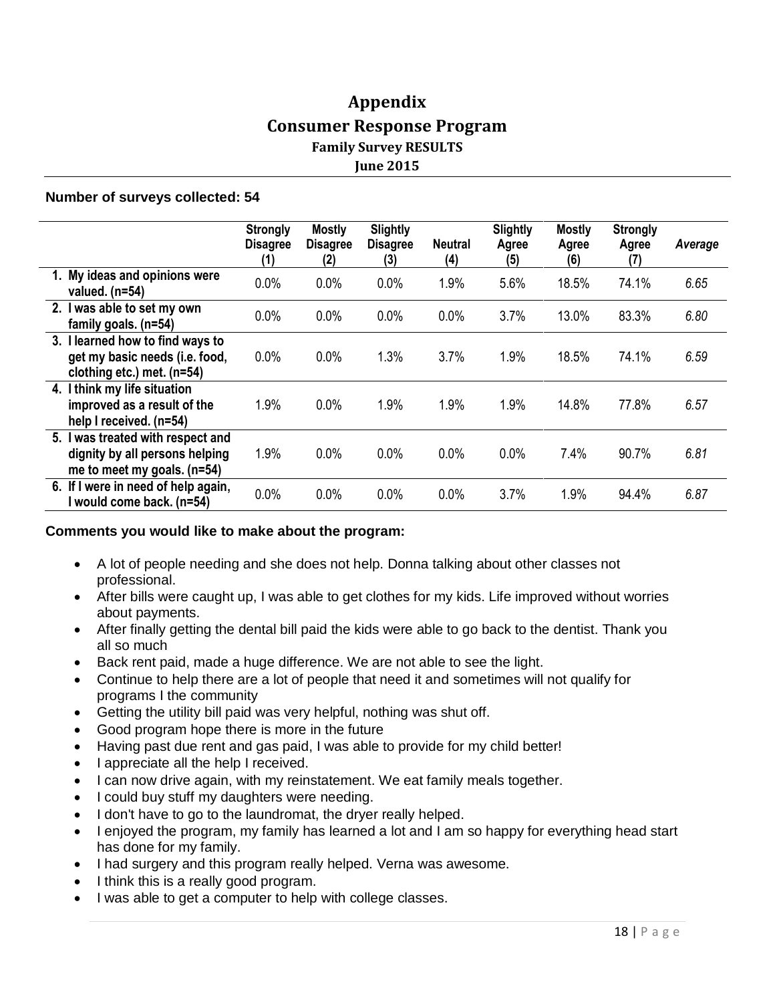### **Appendix Consumer Response Program Family Survey RESULTS June 2015**

#### **Number of surveys collected: 54**

|                                                                                                    | <b>Strongly</b><br><b>Disagree</b><br>(1) | <b>Mostly</b><br><b>Disagree</b><br>(2) | <b>Slightly</b><br><b>Disagree</b><br>(3) | <b>Neutral</b><br>(4) | <b>Slightly</b><br>Agree<br>(5) | <b>Mostly</b><br>Agree<br>(6) | <b>Strongly</b><br>Agree<br>(7) | Average |
|----------------------------------------------------------------------------------------------------|-------------------------------------------|-----------------------------------------|-------------------------------------------|-----------------------|---------------------------------|-------------------------------|---------------------------------|---------|
| 1. My ideas and opinions were<br>valued. $(n=54)$                                                  | 0.0%                                      | 0.0%                                    | 0.0%                                      | 1.9%                  | 5.6%                            | 18.5%                         | 74.1%                           | 6.65    |
| 2. I was able to set my own<br>family goals. $(n=54)$                                              | 0.0%                                      | 0.0%                                    | 0.0%                                      | 0.0%                  | 3.7%                            | 13.0%                         | 83.3%                           | 6.80    |
| 3. I learned how to find ways to<br>get my basic needs (i.e. food,<br>clothing etc.) met. (n=54)   | 0.0%                                      | 0.0%                                    | 1.3%                                      | 3.7%                  | 1.9%                            | 18.5%                         | 74.1%                           | 6.59    |
| 4. I think my life situation<br>improved as a result of the<br>help I received. (n=54)             | 1.9%                                      | 0.0%                                    | 1.9%                                      | 1.9%                  | 1.9%                            | 14.8%                         | 77.8%                           | 6.57    |
| 5. I was treated with respect and<br>dignity by all persons helping<br>me to meet my goals. (n=54) | 1.9%                                      | 0.0%                                    | 0.0%                                      | 0.0%                  | 0.0%                            | 7.4%                          | 90.7%                           | 6.81    |
| 6. If I were in need of help again,<br>I would come back. (n=54)                                   | 0.0%                                      | 0.0%                                    | 0.0%                                      | 0.0%                  | 3.7%                            | 1.9%                          | 94.4%                           | 6.87    |

#### **Comments you would like to make about the program:**

- A lot of people needing and she does not help. Donna talking about other classes not professional.
- After bills were caught up, I was able to get clothes for my kids. Life improved without worries about payments.
- After finally getting the dental bill paid the kids were able to go back to the dentist. Thank you all so much
- Back rent paid, made a huge difference. We are not able to see the light.
- Continue to help there are a lot of people that need it and sometimes will not qualify for programs I the community
- Getting the utility bill paid was very helpful, nothing was shut off.
- Good program hope there is more in the future
- Having past due rent and gas paid, I was able to provide for my child better!
- I appreciate all the help I received.
- I can now drive again, with my reinstatement. We eat family meals together.
- I could buy stuff my daughters were needing.
- I don't have to go to the laundromat, the dryer really helped.
- I enjoyed the program, my family has learned a lot and I am so happy for everything head start has done for my family.
- I had surgery and this program really helped. Verna was awesome.
- I think this is a really good program.
- I was able to get a computer to help with college classes.